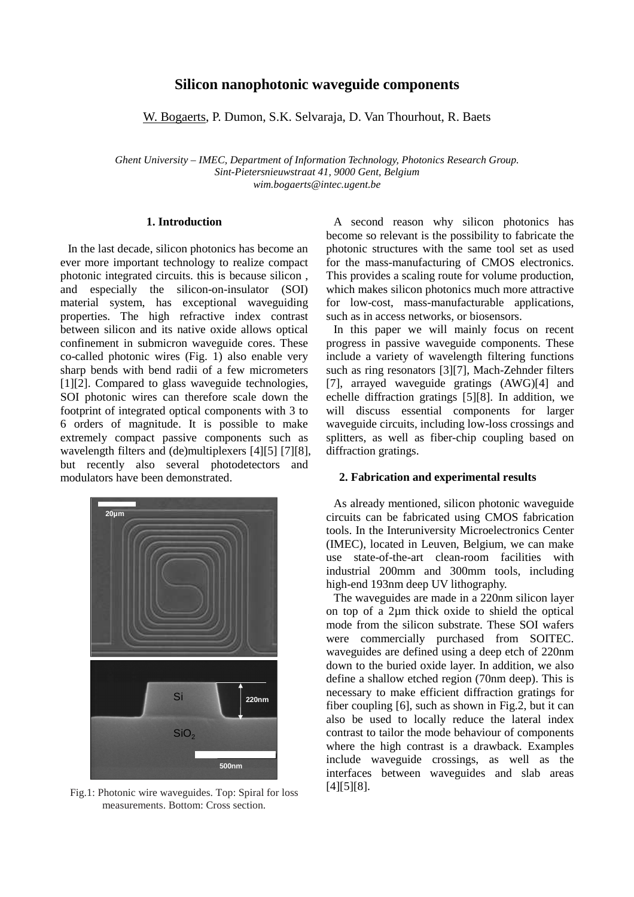# **Silicon nanophotonic waveguide components**

W. Bogaerts, P. Dumon, S.K. Selvaraja, D. Van Thourhout, R. Baets

*Ghent University – IMEC, Department of Information Technology, Photonics Research Group. Sint-Pietersnieuwstraat 41, 9000 Gent, Belgium wim.bogaerts@intec.ugent.be* 

# **1. Introduction**

In the last decade, silicon photonics has become an ever more important technology to realize compact photonic integrated circuits. this is because silicon , and especially the silicon-on-insulator (SOI) material system, has exceptional waveguiding properties. The high refractive index contrast between silicon and its native oxide allows optical confinement in submicron waveguide cores. These co-called photonic wires (Fig. 1) also enable very sharp bends with bend radii of a few micrometers [1][2]. Compared to glass waveguide technologies, SOI photonic wires can therefore scale down the footprint of integrated optical components with 3 to 6 orders of magnitude. It is possible to make extremely compact passive components such as wavelength filters and (de)multiplexers [4][5] [7][8], but recently also several photodetectors and modulators have been demonstrated.



Fig.1: Photonic wire waveguides. Top: Spiral for loss measurements. Bottom: Cross section.

A second reason why silicon photonics has become so relevant is the possibility to fabricate the photonic structures with the same tool set as used for the mass-manufacturing of CMOS electronics. This provides a scaling route for volume production, which makes silicon photonics much more attractive for low-cost, mass-manufacturable applications, such as in access networks, or biosensors.

In this paper we will mainly focus on recent progress in passive waveguide components. These include a variety of wavelength filtering functions such as ring resonators [3][7], Mach-Zehnder filters [7], arrayed waveguide gratings (AWG)[4] and echelle diffraction gratings [5][8]. In addition, we will discuss essential components for larger waveguide circuits, including low-loss crossings and splitters, as well as fiber-chip coupling based on diffraction gratings.

## **2. Fabrication and experimental results**

As already mentioned, silicon photonic waveguide circuits can be fabricated using CMOS fabrication tools. In the Interuniversity Microelectronics Center (IMEC), located in Leuven, Belgium, we can make use state-of-the-art clean-room facilities with industrial 200mm and 300mm tools, including high-end 193nm deep UV lithography.

The waveguides are made in a 220nm silicon layer on top of a 2µm thick oxide to shield the optical mode from the silicon substrate. These SOI wafers were commercially purchased from SOITEC. waveguides are defined using a deep etch of 220nm down to the buried oxide layer. In addition, we also define a shallow etched region (70nm deep). This is necessary to make efficient diffraction gratings for fiber coupling [6], such as shown in Fig.2, but it can also be used to locally reduce the lateral index contrast to tailor the mode behaviour of components where the high contrast is a drawback. Examples include waveguide crossings, as well as the interfaces between waveguides and slab areas [4][5][8].